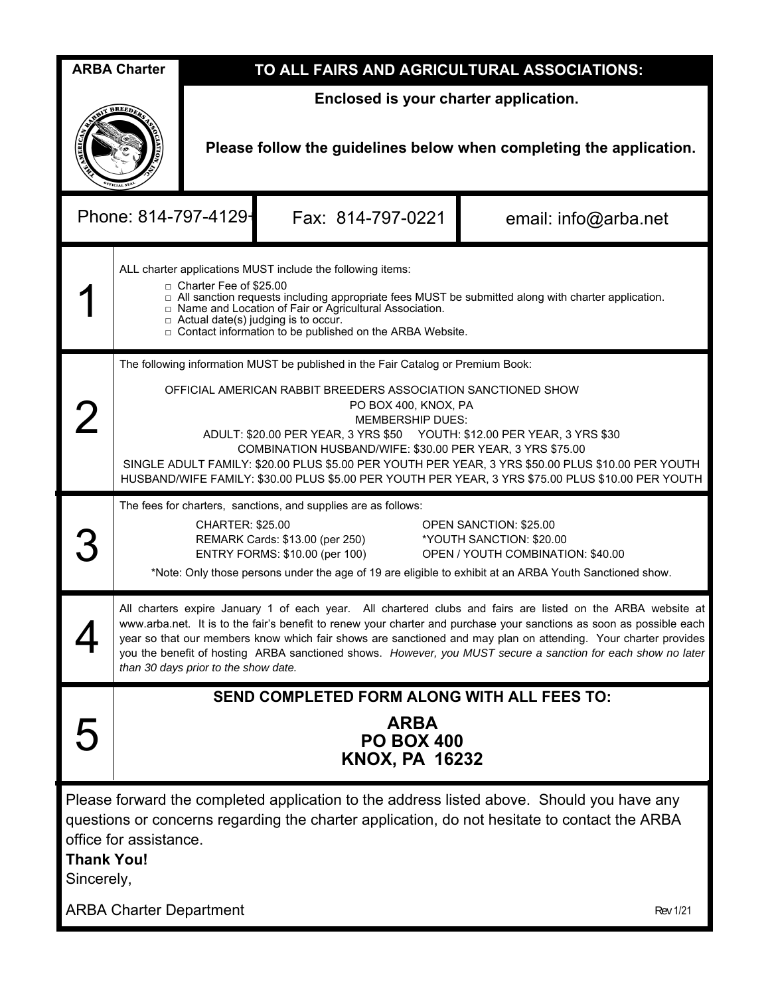| <b>ARBA Charter</b>                                                                                                                                                                                                                                    |                                                                                                                                                                                                                                                                                                                                                                                                                                                                                                                                                        | TO ALL FAIRS AND AGRICULTURAL ASSOCIATIONS:                                                                  |                   |                      |  |  |  |  |  |  |
|--------------------------------------------------------------------------------------------------------------------------------------------------------------------------------------------------------------------------------------------------------|--------------------------------------------------------------------------------------------------------------------------------------------------------------------------------------------------------------------------------------------------------------------------------------------------------------------------------------------------------------------------------------------------------------------------------------------------------------------------------------------------------------------------------------------------------|--------------------------------------------------------------------------------------------------------------|-------------------|----------------------|--|--|--|--|--|--|
|                                                                                                                                                                                                                                                        |                                                                                                                                                                                                                                                                                                                                                                                                                                                                                                                                                        | Enclosed is your charter application.<br>Please follow the guidelines below when completing the application. |                   |                      |  |  |  |  |  |  |
| Phone: 814-797-4129-                                                                                                                                                                                                                                   |                                                                                                                                                                                                                                                                                                                                                                                                                                                                                                                                                        |                                                                                                              | Fax: 814-797-0221 | email: info@arba.net |  |  |  |  |  |  |
|                                                                                                                                                                                                                                                        | ALL charter applications MUST include the following items:<br>□ Charter Fee of \$25.00<br>$\Box$ All sanction requests including appropriate fees MUST be submitted along with charter application.<br>□ Name and Location of Fair or Agricultural Association.<br>$\Box$ Actual date(s) judging is to occur.<br>□ Contact information to be published on the ARBA Website.                                                                                                                                                                            |                                                                                                              |                   |                      |  |  |  |  |  |  |
|                                                                                                                                                                                                                                                        | The following information MUST be published in the Fair Catalog or Premium Book:<br>OFFICIAL AMERICAN RABBIT BREEDERS ASSOCIATION SANCTIONED SHOW<br>PO BOX 400, KNOX, PA<br><b>MEMBERSHIP DUES:</b><br>ADULT: \$20.00 PER YEAR, 3 YRS \$50 YOUTH: \$12.00 PER YEAR, 3 YRS \$30<br>COMBINATION HUSBAND/WIFE: \$30.00 PER YEAR, 3 YRS \$75.00<br>SINGLE ADULT FAMILY: \$20.00 PLUS \$5.00 PER YOUTH PER YEAR, 3 YRS \$50.00 PLUS \$10.00 PER YOUTH<br>HUSBAND/WIFE FAMILY: \$30.00 PLUS \$5.00 PER YOUTH PER YEAR, 3 YRS \$75.00 PLUS \$10.00 PER YOUTH |                                                                                                              |                   |                      |  |  |  |  |  |  |
|                                                                                                                                                                                                                                                        | The fees for charters, sanctions, and supplies are as follows:<br><b>CHARTER: \$25.00</b><br><b>OPEN SANCTION: \$25.00</b><br>REMARK Cards: \$13.00 (per 250)<br>*YOUTH SANCTION: \$20.00<br>ENTRY FORMS: \$10.00 (per 100)<br>OPEN / YOUTH COMBINATION: \$40.00<br>*Note: Only those persons under the age of 19 are eligible to exhibit at an ARBA Youth Sanctioned show.                                                                                                                                                                            |                                                                                                              |                   |                      |  |  |  |  |  |  |
|                                                                                                                                                                                                                                                        | All charters expire January 1 of each year. All chartered clubs and fairs are listed on the ARBA website at<br>www.arba.net. It is to the fair's benefit to renew your charter and purchase your sanctions as soon as possible each<br>year so that our members know which fair shows are sanctioned and may plan on attending. Your charter provides<br>you the benefit of hosting ARBA sanctioned shows. However, you MUST secure a sanction for each show no later<br>than 30 days prior to the show date.                                          |                                                                                                              |                   |                      |  |  |  |  |  |  |
|                                                                                                                                                                                                                                                        | SEND COMPLETED FORM ALONG WITH ALL FEES TO:<br><b>ARBA</b><br><b>PO BOX 400</b><br><b>KNOX, PA 16232</b>                                                                                                                                                                                                                                                                                                                                                                                                                                               |                                                                                                              |                   |                      |  |  |  |  |  |  |
| Please forward the completed application to the address listed above. Should you have any<br>questions or concerns regarding the charter application, do not hesitate to contact the ARBA<br>office for assistance.<br><b>Thank You!</b><br>Sincerely, |                                                                                                                                                                                                                                                                                                                                                                                                                                                                                                                                                        |                                                                                                              |                   |                      |  |  |  |  |  |  |
|                                                                                                                                                                                                                                                        | <b>ARBA Charter Department</b><br><b>Rev 1/21</b>                                                                                                                                                                                                                                                                                                                                                                                                                                                                                                      |                                                                                                              |                   |                      |  |  |  |  |  |  |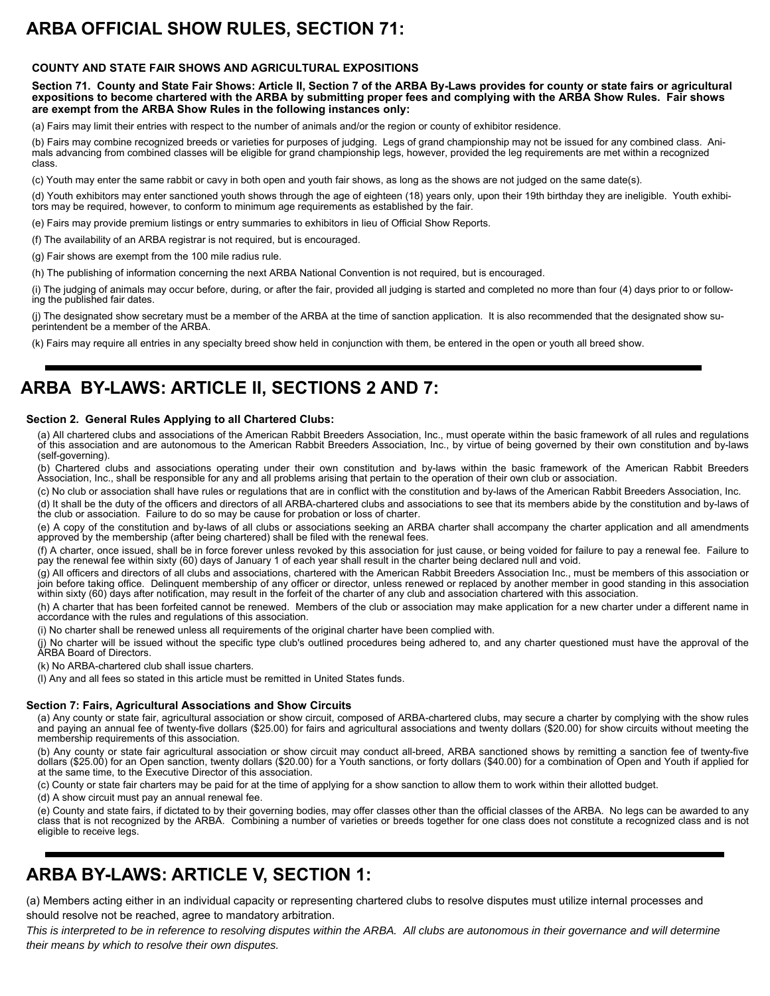# **ARBA OFFICIAL SHOW RULES, SECTION 71:**

### **COUNTY AND STATE FAIR SHOWS AND AGRICULTURAL EXPOSITIONS**

**Section 71. County and State Fair Shows: Article II, Section 7 of the ARBA By-Laws provides for county or state fairs or agricultural expositions to become chartered with the ARBA by submitting proper fees and complying with the ARBA Show Rules. Fair shows are exempt from the ARBA Show Rules in the following instances only:** 

(a) Fairs may limit their entries with respect to the number of animals and/or the region or county of exhibitor residence.

(b) Fairs may combine recognized breeds or varieties for purposes of judging. Legs of grand championship may not be issued for any combined class. Animals advancing from combined classes will be eligible for grand championship legs, however, provided the leg requirements are met within a recognized class.

(c) Youth may enter the same rabbit or cavy in both open and youth fair shows, as long as the shows are not judged on the same date(s).

(d) Youth exhibitors may enter sanctioned youth shows through the age of eighteen (18) years only, upon their 19th birthday they are ineligible. Youth exhibitors may be required, however, to conform to minimum age requirements as established by the fair.

(e) Fairs may provide premium listings or entry summaries to exhibitors in lieu of Official Show Reports.

(f) The availability of an ARBA registrar is not required, but is encouraged.

(g) Fair shows are exempt from the 100 mile radius rule.

(h) The publishing of information concerning the next ARBA National Convention is not required, but is encouraged.

(i) The judging of animals may occur before, during, or after the fair, provided all judging is started and completed no more than four (4) days prior to or following the published fair dates.

(j) The designated show secretary must be a member of the ARBA at the time of sanction application. It is also recommended that the designated show superintendent be a member of the ARBA.

(k) Fairs may require all entries in any specialty breed show held in conjunction with them, be entered in the open or youth all breed show.

## **ARBA BY-LAWS: ARTICLE II, SECTIONS 2 AND 7:**

#### **Section 2. General Rules Applying to all Chartered Clubs:**

(a) All chartered clubs and associations of the American Rabbit Breeders Association, Inc., must operate within the basic framework of all rules and regulations of this association and are autonomous to the American Rabbit Breeders Association, Inc., by virtue of being governed by their own constitution and by-laws (self-governing).

(b) Chartered clubs and associations operating under their own constitution and by-laws within the basic framework of the American Rabbit Breeders Association, Inc., shall be responsible for any and all problems arising that pertain to the operation of their own club or association.

(c) No club or association shall have rules or regulations that are in conflict with the constitution and by-laws of the American Rabbit Breeders Association, Inc. (d) It shall be the duty of the officers and directors of all ARBA-chartered clubs and associations to see that its members abide by the constitution and by-laws of

the club or association. Failure to do so may be cause for probation or loss of charter. (e) A copy of the constitution and by-laws of all clubs or associations seeking an ARBA charter shall accompany the charter application and all amendments approved by the membership (after being chartered) shall be filed with the renewal fees.

(f) A charter, once issued, shall be in force forever unless revoked by this association for just cause, or being voided for failure to pay a renewal fee. Failure to pay the renewal fee within sixty (60) days of January 1 of each year shall result in the charter being declared null and void.

(g) All officers and directors of all clubs and associations, chartered with the American Rabbit Breeders Association Inc., must be members of this association or join before taking office. Delinquent membership of any officer or director, unless renewed or replaced by another member in good standing in this association within sixty (60) days after notification, may result in the forfeit of the charter of any club and association chartered with this association.

(h) A charter that has been forfeited cannot be renewed. Members of the club or association may make application for a new charter under a different name in accordance with the rules and regulations of this association.

(i) No charter shall be renewed unless all requirements of the original charter have been complied with.

(j) No charter will be issued without the specific type club's outlined procedures being adhered to, and any charter questioned must have the approval of the ARBA Board of Directors.

(k) No ARBA-chartered club shall issue charters.

(l) Any and all fees so stated in this article must be remitted in United States funds.

#### **Section 7: Fairs, Agricultural Associations and Show Circuits**

(a) Any county or state fair, agricultural association or show circuit, composed of ARBA-chartered clubs, may secure a charter by complying with the show rules and paying an annual fee of twenty-five dollars (\$25.00) for fairs and agricultural associations and twenty dollars (\$20.00) for show circuits without meeting the membership requirements of this association.

(b) Any county or state fair agricultural association or show circuit may conduct all-breed, ARBA sanctioned shows by remitting a sanction fee of twenty-five dollars (\$25.00) for an Open sanction, twenty dollars (\$20.00) for a Youth sanctions, or forty dollars (\$40.00) for a combination of Open and Youth if applied for at the same time, to the Executive Director of this association.

(c) County or state fair charters may be paid for at the time of applying for a show sanction to allow them to work within their allotted budget.

(d) A show circuit must pay an annual renewal fee.

(e) County and state fairs, if dictated to by their governing bodies, may offer classes other than the official classes of the ARBA. No legs can be awarded to any class that is not recognized by the ARBA. Combining a number of varieties or breeds together for one class does not constitute a recognized class and is not eligible to receive legs.

### **ARBA BY-LAWS: ARTICLE V, SECTION 1:**

(a) Members acting either in an individual capacity or representing chartered clubs to resolve disputes must utilize internal processes and should resolve not be reached, agree to mandatory arbitration.

*This is interpreted to be in reference to resolving disputes within the ARBA. All clubs are autonomous in their governance and will determine their means by which to resolve their own disputes.*